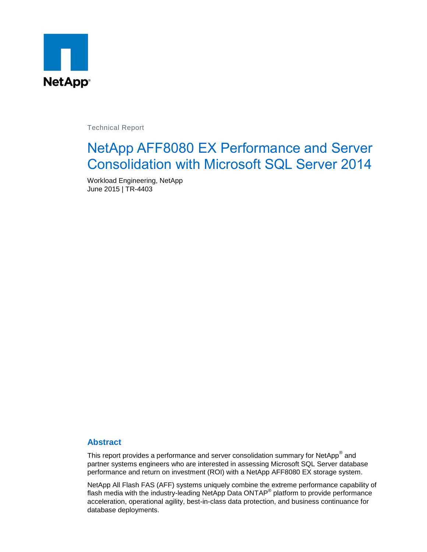

Technical Report

# NetApp AFF8080 EX Performance and Server Consolidation with Microsoft SQL Server 2014

Workload Engineering, NetApp June 2015 | TR-4403

#### **Abstract**

This report provides a performance and server consolidation summary for NetApp $^{\circledast}$  and partner systems engineers who are interested in assessing Microsoft SQL Server database performance and return on investment (ROI) with a NetApp AFF8080 EX storage system.

NetApp All Flash FAS (AFF) systems uniquely combine the extreme performance capability of flash media with the industry-leading NetApp Data ONTAP<sup>®</sup> platform to provide performance acceleration, operational agility, best-in-class data protection, and business continuance for database deployments.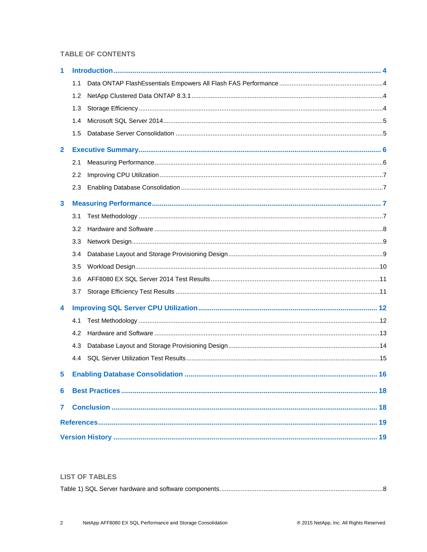#### **TABLE OF CONTENTS**

| 1              |     |  |  |  |  |  |  |
|----------------|-----|--|--|--|--|--|--|
|                | 1.1 |  |  |  |  |  |  |
|                | 1.2 |  |  |  |  |  |  |
|                | 1.3 |  |  |  |  |  |  |
|                | 1.4 |  |  |  |  |  |  |
|                | 1.5 |  |  |  |  |  |  |
| $\mathbf{2}$   |     |  |  |  |  |  |  |
|                | 2.1 |  |  |  |  |  |  |
|                | 2.2 |  |  |  |  |  |  |
|                | 2.3 |  |  |  |  |  |  |
| 3              |     |  |  |  |  |  |  |
|                | 3.1 |  |  |  |  |  |  |
|                | 3.2 |  |  |  |  |  |  |
|                | 3.3 |  |  |  |  |  |  |
|                | 3.4 |  |  |  |  |  |  |
|                | 3.5 |  |  |  |  |  |  |
|                | 3.6 |  |  |  |  |  |  |
|                | 3.7 |  |  |  |  |  |  |
| 4              |     |  |  |  |  |  |  |
|                | 4.1 |  |  |  |  |  |  |
|                | 4.2 |  |  |  |  |  |  |
|                | 4.3 |  |  |  |  |  |  |
|                | 4.4 |  |  |  |  |  |  |
| 5              |     |  |  |  |  |  |  |
| 6              |     |  |  |  |  |  |  |
| $\overline{7}$ |     |  |  |  |  |  |  |
|                |     |  |  |  |  |  |  |
|                |     |  |  |  |  |  |  |

#### **LIST OF TABLES**

|--|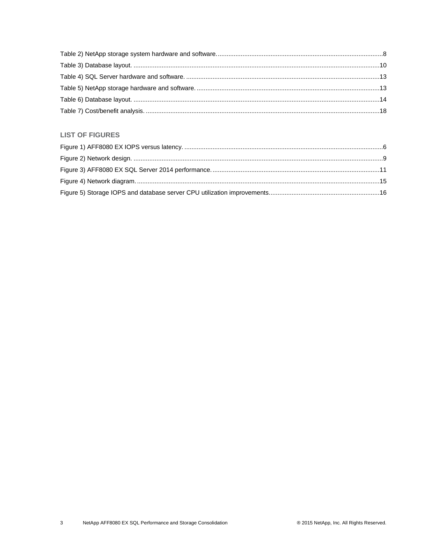#### **LIST OF FIGURES**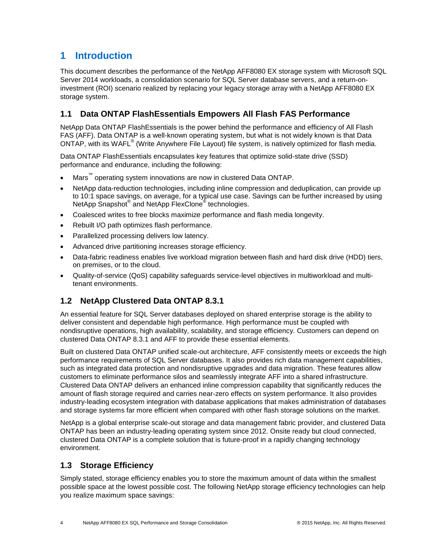# <span id="page-3-0"></span>**1 Introduction**

This document describes the performance of the NetApp AFF8080 EX storage system with Microsoft SQL Server 2014 workloads, a consolidation scenario for SQL Server database servers, and a return-oninvestment (ROI) scenario realized by replacing your legacy storage array with a NetApp AFF8080 EX storage system.

### <span id="page-3-1"></span>**1.1 Data ONTAP FlashEssentials Empowers All Flash FAS Performance**

NetApp Data ONTAP FlashEssentials is the power behind the performance and efficiency of All Flash FAS (AFF). Data ONTAP is a well-known operating system, but what is not widely known is that Data ONTAP, with its WAFL<sup>®</sup> (Write Anywhere File Layout) file system, is natively optimized for flash media.

Data ONTAP FlashEssentials encapsulates key features that optimize solid-state drive (SSD) performance and endurance, including the following:

- Mars<sup>™</sup> operating system innovations are now in clustered Data ONTAP.
- NetApp data-reduction technologies, including inline compression and deduplication, can provide up to 10:1 space savings, on average, for a typical use case. Savings can be further increased by using NetApp Snapshot<sup>®</sup> and NetApp FlexClone<sup>®</sup> technologies.
- Coalesced writes to free blocks maximize performance and flash media longevity.
- Rebuilt I/O path optimizes flash performance.
- Parallelized processing delivers low latency.
- Advanced drive partitioning increases storage efficiency.
- Data-fabric readiness enables live workload migration between flash and hard disk drive (HDD) tiers, on premises, or to the cloud.
- Quality-of-service (QoS) capability safeguards service-level objectives in multiworkload and multitenant environments.

#### <span id="page-3-2"></span>**1.2 NetApp Clustered Data ONTAP 8.3.1**

An essential feature for SQL Server databases deployed on shared enterprise storage is the ability to deliver consistent and dependable high performance. High performance must be coupled with nondisruptive operations, high availability, scalability, and storage efficiency. Customers can depend on clustered Data ONTAP 8.3.1 and AFF to provide these essential elements.

Built on clustered Data ONTAP unified scale-out architecture, AFF consistently meets or exceeds the high performance requirements of SQL Server databases. It also provides rich data management capabilities, such as integrated data protection and nondisruptive upgrades and data migration. These features allow customers to eliminate performance silos and seamlessly integrate AFF into a shared infrastructure. Clustered Data ONTAP delivers an enhanced inline compression capability that significantly reduces the amount of flash storage required and carries near-zero effects on system performance. It also provides industry-leading ecosystem integration with database applications that makes administration of databases and storage systems far more efficient when compared with other flash storage solutions on the market.

NetApp is a global enterprise scale-out storage and data management fabric provider, and clustered Data ONTAP has been an industry-leading operating system since 2012. Onsite ready but cloud connected, clustered Data ONTAP is a complete solution that is future-proof in a rapidly changing technology environment.

#### <span id="page-3-3"></span>**1.3 Storage Efficiency**

Simply stated, storage efficiency enables you to store the maximum amount of data within the smallest possible space at the lowest possible cost. The following NetApp storage efficiency technologies can help you realize maximum space savings: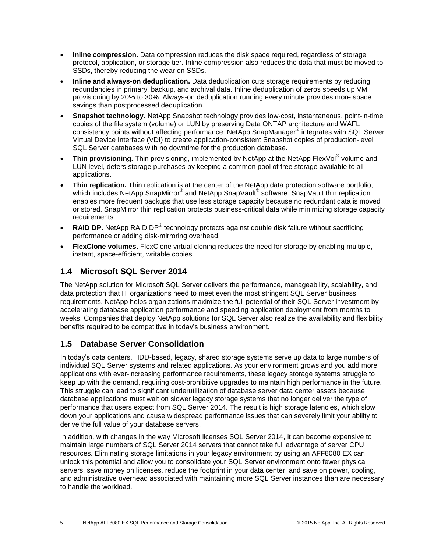- **Inline compression.** Data compression reduces the disk space required, regardless of storage protocol, application, or storage tier. Inline compression also reduces the data that must be moved to SSDs, thereby reducing the wear on SSDs.
- **Inline and always-on deduplication.** Data deduplication cuts storage requirements by reducing redundancies in primary, backup, and archival data. Inline deduplication of zeros speeds up VM provisioning by 20% to 30%. Always-on deduplication running every minute provides more space savings than postprocessed deduplication.
- **Snapshot technology.** NetApp Snapshot technology provides low-cost, instantaneous, point-in-time copies of the file system (volume) or LUN by preserving Data ONTAP architecture and WAFL consistency points without affecting performance. NetApp SnapManager® integrates with SQL Server Virtual Device Interface (VDI) to create application-consistent Snapshot copies of production-level SQL Server databases with no downtime for the production database.
- **Thin provisioning.** Thin provisioning, implemented by NetApp at the NetApp FlexVol® volume and LUN level, defers storage purchases by keeping a common pool of free storage available to all applications.
- **Thin replication.** Thin replication is at the center of the NetApp data protection software portfolio, which includes NetApp SnapMirror® and NetApp SnapVault® software. SnapVault thin replication enables more frequent backups that use less storage capacity because no redundant data is moved or stored. SnapMirror thin replication protects business-critical data while minimizing storage capacity requirements.
- RAID DP. NetApp RAID DP<sup>®</sup> technology protects against double disk failure without sacrificing performance or adding disk-mirroring overhead.
- **FlexClone volumes.** FlexClone virtual cloning reduces the need for storage by enabling multiple, instant, space-efficient, writable copies.

### <span id="page-4-0"></span>**1.4 Microsoft SQL Server 2014**

The NetApp solution for Microsoft SQL Server delivers the performance, manageability, scalability, and data protection that IT organizations need to meet even the most stringent SQL Server business requirements. NetApp helps organizations maximize the full potential of their SQL Server investment by accelerating database application performance and speeding application deployment from months to weeks. Companies that deploy NetApp solutions for SQL Server also realize the availability and flexibility benefits required to be competitive in today's business environment.

#### <span id="page-4-1"></span>**1.5 Database Server Consolidation**

In today's data centers, HDD-based, legacy, shared storage systems serve up data to large numbers of individual SQL Server systems and related applications. As your environment grows and you add more applications with ever-increasing performance requirements, these legacy storage systems struggle to keep up with the demand, requiring cost-prohibitive upgrades to maintain high performance in the future. This struggle can lead to significant underutilization of database server data center assets because database applications must wait on slower legacy storage systems that no longer deliver the type of performance that users expect from SQL Server 2014. The result is high storage latencies, which slow down your applications and cause widespread performance issues that can severely limit your ability to derive the full value of your database servers.

In addition, with changes in the way Microsoft licenses SQL Server 2014, it can become expensive to maintain large numbers of SQL Server 2014 servers that cannot take full advantage of server CPU resources. Eliminating storage limitations in your legacy environment by using an AFF8080 EX can unlock this potential and allow you to consolidate your SQL Server environment onto fewer physical servers, save money on licenses, reduce the footprint in your data center, and save on power, cooling, and administrative overhead associated with maintaining more SQL Server instances than are necessary to handle the workload.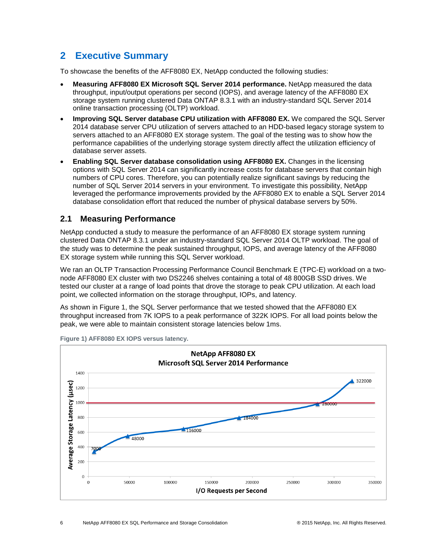# <span id="page-5-0"></span>**2 Executive Summary**

To showcase the benefits of the AFF8080 EX, NetApp conducted the following studies:

- **Measuring AFF8080 EX Microsoft SQL Server 2014 performance.** NetApp measured the data throughput, input/output operations per second (IOPS), and average latency of the AFF8080 EX storage system running clustered Data ONTAP 8.3.1 with an industry-standard SQL Server 2014 online transaction processing (OLTP) workload.
- **Improving SQL Server database CPU utilization with AFF8080 EX.** We compared the SQL Server 2014 database server CPU utilization of servers attached to an HDD-based legacy storage system to servers attached to an AFF8080 EX storage system. The goal of the testing was to show how the performance capabilities of the underlying storage system directly affect the utilization efficiency of database server assets.
- **Enabling SQL Server database consolidation using AFF8080 EX.** Changes in the licensing options with SQL Server 2014 can significantly increase costs for database servers that contain high numbers of CPU cores. Therefore, you can potentially realize significant savings by reducing the number of SQL Server 2014 servers in your environment. To investigate this possibility, NetApp leveraged the performance improvements provided by the AFF8080 EX to enable a SQL Server 2014 database consolidation effort that reduced the number of physical database servers by 50%.

#### <span id="page-5-1"></span>**2.1 Measuring Performance**

NetApp conducted a study to measure the performance of an AFF8080 EX storage system running clustered Data ONTAP 8.3.1 under an industry-standard SQL Server 2014 OLTP workload. The goal of the study was to determine the peak sustained throughput, IOPS, and average latency of the AFF8080 EX storage system while running this SQL Server workload.

We ran an OLTP Transaction Processing Performance Council Benchmark E (TPC-E) workload on a twonode AFF8080 EX cluster with two DS2246 shelves containing a total of 48 800GB SSD drives. We tested our cluster at a range of load points that drove the storage to peak CPU utilization. At each load point, we collected information on the storage throughput, IOPs, and latency.

As shown in [Figure 1,](#page-5-2) the SQL Server performance that we tested showed that the AFF8080 EX throughput increased from 7K IOPS to a peak performance of 322K IOPS. For all load points below the peak, we were able to maintain consistent storage latencies below 1ms.



<span id="page-5-2"></span>**Figure 1) AFF8080 EX IOPS versus latency.**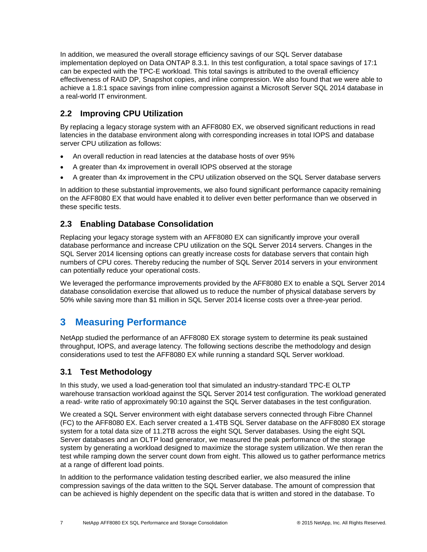In addition, we measured the overall storage efficiency savings of our SQL Server database implementation deployed on Data ONTAP 8.3.1. In this test configuration, a total space savings of 17:1 can be expected with the TPC-E workload. This total savings is attributed to the overall efficiency effectiveness of RAID DP, Snapshot copies, and inline compression. We also found that we were able to achieve a 1.8:1 space savings from inline compression against a Microsoft Server SQL 2014 database in a real-world IT environment.

### <span id="page-6-0"></span>**2.2 Improving CPU Utilization**

By replacing a legacy storage system with an AFF8080 EX, we observed significant reductions in read latencies in the database environment along with corresponding increases in total IOPS and database server CPU utilization as follows:

- An overall reduction in read latencies at the database hosts of over 95%
- A greater than 4x improvement in overall IOPS observed at the storage
- A greater than 4x improvement in the CPU utilization observed on the SQL Server database servers

In addition to these substantial improvements, we also found significant performance capacity remaining on the AFF8080 EX that would have enabled it to deliver even better performance than we observed in these specific tests.

#### <span id="page-6-1"></span>**2.3 Enabling Database Consolidation**

Replacing your legacy storage system with an AFF8080 EX can significantly improve your overall database performance and increase CPU utilization on the SQL Server 2014 servers. Changes in the SQL Server 2014 licensing options can greatly increase costs for database servers that contain high numbers of CPU cores. Thereby reducing the number of SQL Server 2014 servers in your environment can potentially reduce your operational costs.

We leveraged the performance improvements provided by the AFF8080 EX to enable a SQL Server 2014 database consolidation exercise that allowed us to reduce the number of physical database servers by 50% while saving more than \$1 million in SQL Server 2014 license costs over a three-year period.

# <span id="page-6-2"></span>**3 Measuring Performance**

NetApp studied the performance of an AFF8080 EX storage system to determine its peak sustained throughput, IOPS, and average latency. The following sections describe the methodology and design considerations used to test the AFF8080 EX while running a standard SQL Server workload.

#### <span id="page-6-3"></span>**3.1 Test Methodology**

In this study, we used a load-generation tool that simulated an industry-standard TPC-E OLTP warehouse transaction workload against the SQL Server 2014 test configuration. The workload generated a read- write ratio of approximately 90:10 against the SQL Server databases in the test configuration.

We created a SQL Server environment with eight database servers connected through Fibre Channel (FC) to the AFF8080 EX. Each server created a 1.4TB SQL Server database on the AFF8080 EX storage system for a total data size of 11.2TB across the eight SQL Server databases. Using the eight SQL Server databases and an OLTP load generator, we measured the peak performance of the storage system by generating a workload designed to maximize the storage system utilization. We then reran the test while ramping down the server count down from eight. This allowed us to gather performance metrics at a range of different load points.

In addition to the performance validation testing described earlier, we also measured the inline compression savings of the data written to the SQL Server database. The amount of compression that can be achieved is highly dependent on the specific data that is written and stored in the database. To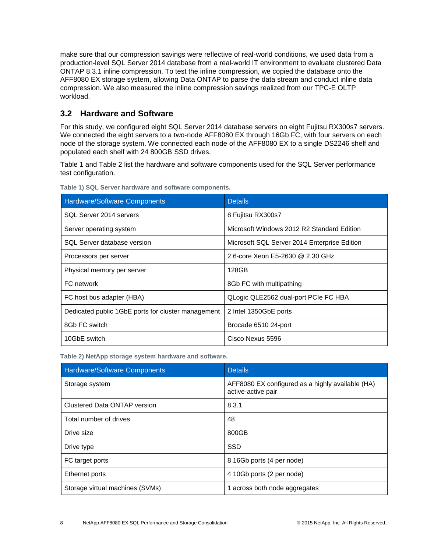make sure that our compression savings were reflective of real-world conditions, we used data from a production-level SQL Server 2014 database from a real-world IT environment to evaluate clustered Data ONTAP 8.3.1 inline compression. To test the inline compression, we copied the database onto the AFF8080 EX storage system, allowing Data ONTAP to parse the data stream and conduct inline data compression. We also measured the inline compression savings realized from our TPC-E OLTP workload.

#### <span id="page-7-0"></span>**3.2 Hardware and Software**

For this study, we configured eight SQL Server 2014 database servers on eight Fujitsu RX300s7 servers. We connected the eight servers to a two-node AFF8080 EX through 16Gb FC, with four servers on each node of the storage system. We connected each node of the AFF8080 EX to a single DS2246 shelf and populated each shelf with 24 800GB SSD drives.

[Table 1](#page-7-1) and [Table 2](#page-7-2) list the hardware and software components used for the SQL Server performance test configuration.

| Hardware/Software Components                       | <b>Details</b>                               |  |  |  |
|----------------------------------------------------|----------------------------------------------|--|--|--|
| SQL Server 2014 servers                            | 8 Fujitsu RX300s7                            |  |  |  |
| Server operating system                            | Microsoft Windows 2012 R2 Standard Edition   |  |  |  |
| SQL Server database version                        | Microsoft SQL Server 2014 Enterprise Edition |  |  |  |
| Processors per server                              | 2 6-core Xeon E5-2630 @ 2.30 GHz             |  |  |  |
| Physical memory per server                         | 128GB                                        |  |  |  |
| FC network                                         | 8Gb FC with multipathing                     |  |  |  |
| FC host bus adapter (HBA)                          | QLogic QLE2562 dual-port PCIe FC HBA         |  |  |  |
| Dedicated public 1GbE ports for cluster management | 2 Intel 1350GbE ports                        |  |  |  |
| 8Gb FC switch                                      | Brocade 6510 24-port                         |  |  |  |
| 10GbE switch                                       | Cisco Nexus 5596                             |  |  |  |

<span id="page-7-1"></span>**Table 1) SQL Server hardware and software components.**

<span id="page-7-2"></span>**Table 2) NetApp storage system hardware and software.**

| <b>Hardware/Software Components</b> | <b>Details</b>                                                         |  |  |
|-------------------------------------|------------------------------------------------------------------------|--|--|
| Storage system                      | AFF8080 EX configured as a highly available (HA)<br>active-active pair |  |  |
| Clustered Data ONTAP version        | 8.3.1                                                                  |  |  |
| Total number of drives              | 48                                                                     |  |  |
| Drive size                          | 800GB                                                                  |  |  |
| Drive type                          | <b>SSD</b>                                                             |  |  |
| FC target ports                     | 8 16Gb ports (4 per node)                                              |  |  |
| Ethernet ports                      | 4 10Gb ports (2 per node)                                              |  |  |
| Storage virtual machines (SVMs)     | 1 across both node aggregates                                          |  |  |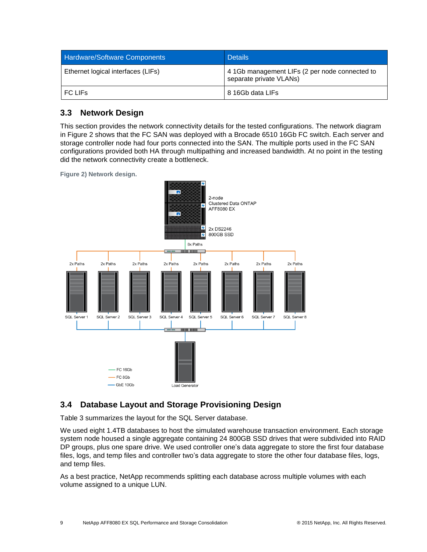| <b>Hardware/Software Components</b> | <b>Details</b>                                                            |  |  |
|-------------------------------------|---------------------------------------------------------------------------|--|--|
| Ethernet logical interfaces (LIFs)  | 4 1Gb management LIFs (2 per node connected to<br>separate private VLANs) |  |  |
| I FC LIFs                           | 8 16Gb data LIFs                                                          |  |  |

#### <span id="page-8-0"></span>**3.3 Network Design**

This section provides the network connectivity details for the tested configurations. The network diagram in [Figure 2](#page-8-2) shows that the FC SAN was deployed with a Brocade 6510 16Gb FC switch. Each server and storage controller node had four ports connected into the SAN. The multiple ports used in the FC SAN configurations provided both HA through multipathing and increased bandwidth. At no point in the testing did the network connectivity create a bottleneck.

<span id="page-8-2"></span>**Figure 2) Network design.**



#### <span id="page-8-1"></span>**3.4 Database Layout and Storage Provisioning Design**

[Table 3](#page-9-1) summarizes the layout for the SQL Server database.

We used eight 1.4TB databases to host the simulated warehouse transaction environment. Each storage system node housed a single aggregate containing 24 800GB SSD drives that were subdivided into RAID DP groups, plus one spare drive. We used controller one's data aggregate to store the first four database files, logs, and temp files and controller two's data aggregate to store the other four database files, logs, and temp files.

As a best practice, NetApp recommends splitting each database across multiple volumes with each volume assigned to a unique LUN.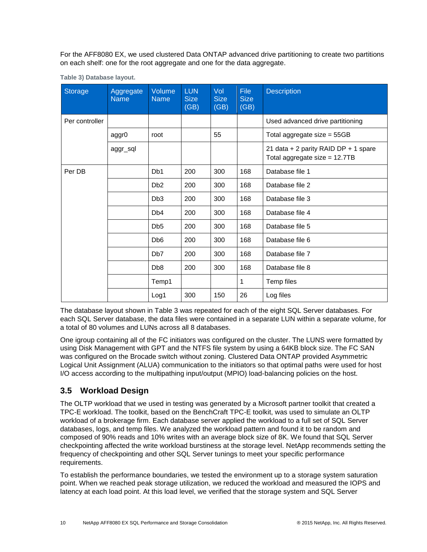For the AFF8080 EX, we used clustered Data ONTAP advanced drive partitioning to create two partitions on each shelf: one for the root aggregate and one for the data aggregate.

| <b>Storage</b> | Aggregate<br><b>Name</b> | <b>Volume</b><br><b>Name</b> | <b>LUN</b><br><b>Size</b><br>(GB) | Vol<br><b>Size</b><br>(GB) | <b>File</b><br><b>Size</b><br>(GB) | <b>Description</b>                                                    |
|----------------|--------------------------|------------------------------|-----------------------------------|----------------------------|------------------------------------|-----------------------------------------------------------------------|
| Per controller |                          |                              |                                   |                            |                                    | Used advanced drive partitioning                                      |
|                | aggr0                    | root                         |                                   | 55                         |                                    | Total aggregate size $= 55GB$                                         |
|                | aggr_sql                 |                              |                                   |                            |                                    | 21 data + 2 parity RAID DP + 1 spare<br>Total aggregate size = 12.7TB |
| Per DB         |                          | D <sub>b</sub> 1             | 200                               | 300                        | 168                                | Database file 1                                                       |
|                |                          | D <sub>b2</sub>              | 200                               | 300                        | 168                                | Database file 2                                                       |
|                |                          | D <sub>b</sub> 3             | 200                               | 300                        | 168                                | Database file 3                                                       |
|                |                          | Db <sub>4</sub>              | 200                               | 300                        | 168                                | Database file 4                                                       |
|                |                          | D <sub>b5</sub>              | 200                               | 300                        | 168                                | Database file 5                                                       |
|                |                          | D <sub>b</sub> 6             | 200                               | 300                        | 168                                | Database file 6                                                       |
|                |                          | Db7                          | 200                               | 300                        | 168                                | Database file 7                                                       |
|                |                          | D <sub>b</sub> 8             | 200                               | 300                        | 168                                | Database file 8                                                       |
|                |                          | Temp1                        |                                   |                            | 1                                  | Temp files                                                            |
|                |                          | Log1                         | 300                               | 150                        | 26                                 | Log files                                                             |

<span id="page-9-1"></span>**Table 3) Database layout.**

The database layout shown in [Table 3](#page-9-1) was repeated for each of the eight SQL Server databases. For each SQL Server database, the data files were contained in a separate LUN within a separate volume, for a total of 80 volumes and LUNs across all 8 databases.

One igroup containing all of the FC initiators was configured on the cluster. The LUNS were formatted by using Disk Management with GPT and the NTFS file system by using a 64KB block size. The FC SAN was configured on the Brocade switch without zoning. Clustered Data ONTAP provided Asymmetric Logical Unit Assignment (ALUA) communication to the initiators so that optimal paths were used for host I/O access according to the multipathing input/output (MPIO) load-balancing policies on the host.

#### <span id="page-9-0"></span>**3.5 Workload Design**

The OLTP workload that we used in testing was generated by a Microsoft partner toolkit that created a TPC-E workload. The toolkit, based on the BenchCraft TPC-E toolkit, was used to simulate an OLTP workload of a brokerage firm. Each database server applied the workload to a full set of SQL Server databases, logs, and temp files. We analyzed the workload pattern and found it to be random and composed of 90% reads and 10% writes with an average block size of 8K. We found that SQL Server checkpointing affected the write workload burstiness at the storage level. NetApp recommends setting the frequency of checkpointing and other SQL Server tunings to meet your specific performance requirements.

To establish the performance boundaries, we tested the environment up to a storage system saturation point. When we reached peak storage utilization, we reduced the workload and measured the IOPS and latency at each load point. At this load level, we verified that the storage system and SQL Server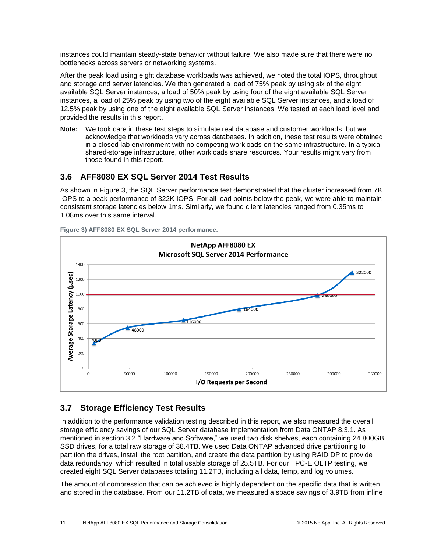instances could maintain steady-state behavior without failure. We also made sure that there were no bottlenecks across servers or networking systems.

After the peak load using eight database workloads was achieved, we noted the total IOPS, throughput, and storage and server latencies. We then generated a load of 75% peak by using six of the eight available SQL Server instances, a load of 50% peak by using four of the eight available SQL Server instances, a load of 25% peak by using two of the eight available SQL Server instances, and a load of 12.5% peak by using one of the eight available SQL Server instances. We tested at each load level and provided the results in this report.

**Note:** We took care in these test steps to simulate real database and customer workloads, but we acknowledge that workloads vary across databases. In addition, these test results were obtained in a closed lab environment with no competing workloads on the same infrastructure. In a typical shared-storage infrastructure, other workloads share resources. Your results might vary from those found in this report.

#### <span id="page-10-0"></span>**3.6 AFF8080 EX SQL Server 2014 Test Results**

As shown in [Figure 3,](#page-10-2) the SQL Server performance test demonstrated that the cluster increased from 7K IOPS to a peak performance of 322K IOPS. For all load points below the peak, we were able to maintain consistent storage latencies below 1ms. Similarly, we found client latencies ranged from 0.35ms to 1.08ms over this same interval.



<span id="page-10-2"></span>**Figure 3) AFF8080 EX SQL Server 2014 performance.**

### <span id="page-10-1"></span>**3.7 Storage Efficiency Test Results**

In addition to the performance validation testing described in this report, we also measured the overall storage efficiency savings of our SQL Server database implementation from Data ONTAP 8.3.1. As mentioned in section [3.2](#page-7-0) "Hardware and Software," we used two disk shelves, each containing 24 800GB SSD drives, for a total raw storage of 38.4TB. We used Data ONTAP advanced drive partitioning to partition the drives, install the root partition, and create the data partition by using RAID DP to provide data redundancy, which resulted in total usable storage of 25.5TB. For our TPC-E OLTP testing, we created eight SQL Server databases totaling 11.2TB, including all data, temp, and log volumes.

The amount of compression that can be achieved is highly dependent on the specific data that is written and stored in the database. From our 11.2TB of data, we measured a space savings of 3.9TB from inline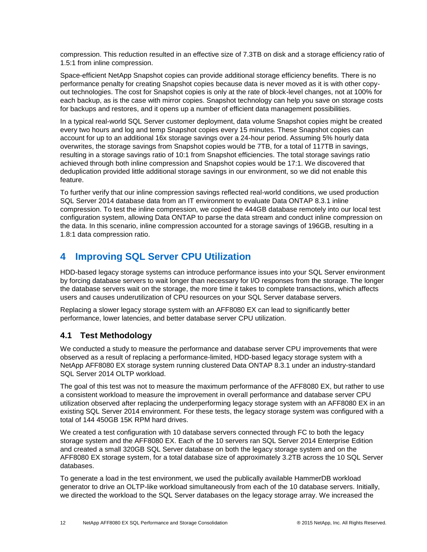compression. This reduction resulted in an effective size of 7.3TB on disk and a storage efficiency ratio of 1.5:1 from inline compression.

Space-efficient NetApp Snapshot copies can provide additional storage efficiency benefits. There is no performance penalty for creating Snapshot copies because data is never moved as it is with other copyout technologies. The cost for Snapshot copies is only at the rate of block-level changes, not at 100% for each backup, as is the case with mirror copies. Snapshot technology can help you save on storage costs for backups and restores, and it opens up a number of efficient data management possibilities.

In a typical real-world SQL Server customer deployment, data volume Snapshot copies might be created every two hours and log and temp Snapshot copies every 15 minutes. These Snapshot copies can account for up to an additional 16x storage savings over a 24-hour period. Assuming 5% hourly data overwrites, the storage savings from Snapshot copies would be 7TB, for a total of 117TB in savings, resulting in a storage savings ratio of 10:1 from Snapshot efficiencies. The total storage savings ratio achieved through both inline compression and Snapshot copies would be 17:1. We discovered that deduplication provided little additional storage savings in our environment, so we did not enable this feature.

To further verify that our inline compression savings reflected real-world conditions, we used production SQL Server 2014 database data from an IT environment to evaluate Data ONTAP 8.3.1 inline compression. To test the inline compression, we copied the 444GB database remotely into our local test configuration system, allowing Data ONTAP to parse the data stream and conduct inline compression on the data. In this scenario, inline compression accounted for a storage savings of 196GB, resulting in a 1.8:1 data compression ratio.

# <span id="page-11-0"></span>**4 Improving SQL Server CPU Utilization**

HDD-based legacy storage systems can introduce performance issues into your SQL Server environment by forcing database servers to wait longer than necessary for I/O responses from the storage. The longer the database servers wait on the storage, the more time it takes to complete transactions, which affects users and causes underutilization of CPU resources on your SQL Server database servers.

Replacing a slower legacy storage system with an AFF8080 EX can lead to significantly better performance, lower latencies, and better database server CPU utilization.

#### <span id="page-11-1"></span>**4.1 Test Methodology**

We conducted a study to measure the performance and database server CPU improvements that were observed as a result of replacing a performance-limited, HDD-based legacy storage system with a NetApp AFF8080 EX storage system running clustered Data ONTAP 8.3.1 under an industry-standard SQL Server 2014 OLTP workload.

The goal of this test was not to measure the maximum performance of the AFF8080 EX, but rather to use a consistent workload to measure the improvement in overall performance and database server CPU utilization observed after replacing the underperforming legacy storage system with an AFF8080 EX in an existing SQL Server 2014 environment. For these tests, the legacy storage system was configured with a total of 144 450GB 15K RPM hard drives.

We created a test configuration with 10 database servers connected through FC to both the legacy storage system and the AFF8080 EX. Each of the 10 servers ran SQL Server 2014 Enterprise Edition and created a small 320GB SQL Server database on both the legacy storage system and on the AFF8080 EX storage system, for a total database size of approximately 3.2TB across the 10 SQL Server databases.

To generate a load in the test environment, we used the publically available HammerDB workload generator to drive an OLTP-like workload simultaneously from each of the 10 database servers. Initially, we directed the workload to the SQL Server databases on the legacy storage array. We increased the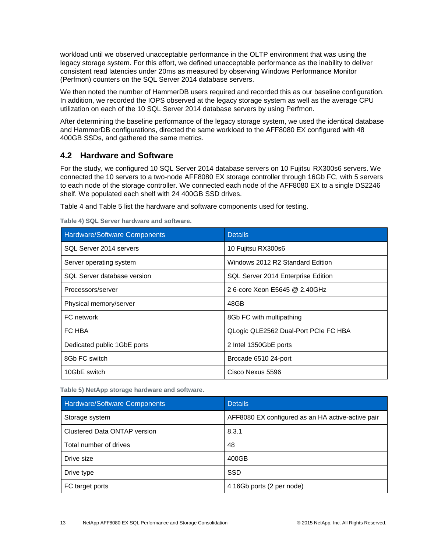workload until we observed unacceptable performance in the OLTP environment that was using the legacy storage system. For this effort, we defined unacceptable performance as the inability to deliver consistent read latencies under 20ms as measured by observing Windows Performance Monitor (Perfmon) counters on the SQL Server 2014 database servers.

We then noted the number of HammerDB users required and recorded this as our baseline configuration. In addition, we recorded the IOPS observed at the legacy storage system as well as the average CPU utilization on each of the 10 SQL Server 2014 database servers by using Perfmon.

After determining the baseline performance of the legacy storage system, we used the identical database and HammerDB configurations, directed the same workload to the AFF8080 EX configured with 48 400GB SSDs, and gathered the same metrics.

#### <span id="page-12-0"></span>**4.2 Hardware and Software**

For the study, we configured 10 SQL Server 2014 database servers on 10 Fujitsu RX300s6 servers. We connected the 10 servers to a two-node AFF8080 EX storage controller through 16Gb FC, with 5 servers to each node of the storage controller. We connected each node of the AFF8080 EX to a single DS2246 shelf. We populated each shelf with 24 400GB SSD drives.

[Table 4](#page-12-1) and [Table 5](#page-12-2) list the hardware and software components used for testing.

| <b>Hardware/Software Components</b> | <b>Details</b>                       |  |  |
|-------------------------------------|--------------------------------------|--|--|
| SQL Server 2014 servers             | 10 Fujitsu RX300s6                   |  |  |
| Server operating system             | Windows 2012 R2 Standard Edition     |  |  |
| SQL Server database version         | SQL Server 2014 Enterprise Edition   |  |  |
| Processors/server                   | 2 6-core Xeon E5645 @ 2.40GHz        |  |  |
| Physical memory/server              | 48GB                                 |  |  |
| FC network                          | 8Gb FC with multipathing             |  |  |
| FC HBA                              | QLogic QLE2562 Dual-Port PCIe FC HBA |  |  |
| Dedicated public 1GbE ports         | 2 Intel 1350GbE ports                |  |  |
| 8Gb FC switch                       | Brocade 6510 24-port                 |  |  |
| 10GbE switch                        | Cisco Nexus 5596                     |  |  |

<span id="page-12-1"></span>**Table 4) SQL Server hardware and software.**

<span id="page-12-2"></span>**Table 5) NetApp storage hardware and software.**

| <b>Hardware/Software Components</b> | <b>Details</b>                                    |  |  |
|-------------------------------------|---------------------------------------------------|--|--|
| Storage system                      | AFF8080 EX configured as an HA active-active pair |  |  |
| Clustered Data ONTAP version        | 8.3.1                                             |  |  |
| Total number of drives              | 48                                                |  |  |
| Drive size                          | 400GB                                             |  |  |
| Drive type                          | <b>SSD</b>                                        |  |  |
| FC target ports                     | 4 16Gb ports (2 per node)                         |  |  |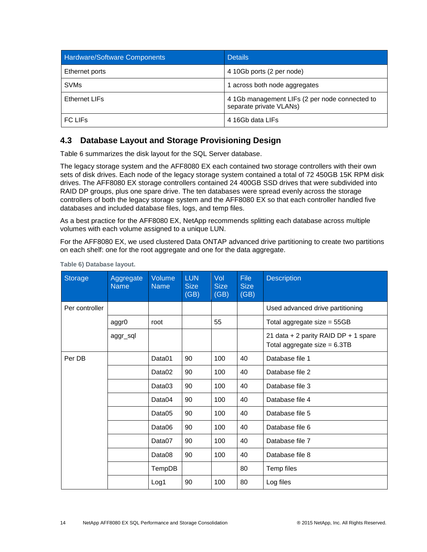| <b>Hardware/Software Components</b> | <b>Details</b>                                                            |  |  |
|-------------------------------------|---------------------------------------------------------------------------|--|--|
| Ethernet ports                      | 4 10Gb ports (2 per node)                                                 |  |  |
| <b>SVMs</b>                         | 1 across both node aggregates                                             |  |  |
| Ethernet LIFs                       | 4 1Gb management LIFs (2 per node connected to<br>separate private VLANs) |  |  |
| FC LIF <sub>s</sub>                 | 4 16Gb data LIFs                                                          |  |  |

#### <span id="page-13-0"></span>**4.3 Database Layout and Storage Provisioning Design**

[Table 6](#page-13-1) summarizes the disk layout for the SQL Server database.

The legacy storage system and the AFF8080 EX each contained two storage controllers with their own sets of disk drives. Each node of the legacy storage system contained a total of 72 450GB 15K RPM disk drives. The AFF8080 EX storage controllers contained 24 400GB SSD drives that were subdivided into RAID DP groups, plus one spare drive. The ten databases were spread evenly across the storage controllers of both the legacy storage system and the AFF8080 EX so that each controller handled five databases and included database files, logs, and temp files.

As a best practice for the AFF8080 EX, NetApp recommends splitting each database across multiple volumes with each volume assigned to a unique LUN.

For the AFF8080 EX, we used clustered Data ONTAP advanced drive partitioning to create two partitions on each shelf: one for the root aggregate and one for the data aggregate.

| Storage        | Aggregate<br><b>Name</b> | Volume<br><b>Name</b> | <b>LUN</b><br><b>Size</b><br>(GB) | Vol<br><b>Size</b><br>(GB) | <b>File</b><br><b>Size</b><br>(GB) | <b>Description</b>                                                     |
|----------------|--------------------------|-----------------------|-----------------------------------|----------------------------|------------------------------------|------------------------------------------------------------------------|
| Per controller |                          |                       |                                   |                            |                                    | Used advanced drive partitioning                                       |
|                | aggr0                    | root                  |                                   | 55                         |                                    | Total aggregate size $= 55GB$                                          |
|                | aggr_sql                 |                       |                                   |                            |                                    | 21 data + 2 parity RAID DP + 1 spare<br>Total aggregate size $= 6.3TB$ |
| Per DB         |                          | Data01                | 90                                | 100                        | 40                                 | Database file 1                                                        |
|                |                          | Data <sub>02</sub>    | 90                                | 100                        | 40                                 | Database file 2                                                        |
|                |                          | Data03                | 90                                | 100                        | 40                                 | Database file 3                                                        |
|                |                          | Data04                | 90                                | 100                        | 40                                 | Database file 4                                                        |
|                |                          | Data05                | 90                                | 100                        | 40                                 | Database file 5                                                        |
|                |                          | Data06                | 90                                | 100                        | 40                                 | Database file 6                                                        |
|                |                          | Data07                | 90                                | 100                        | 40                                 | Database file 7                                                        |
|                |                          | Data08                | 90                                | 100                        | 40                                 | Database file 8                                                        |
|                |                          | TempDB                |                                   |                            | 80                                 | Temp files                                                             |
|                |                          | Log <sub>1</sub>      | 90                                | 100                        | 80                                 | Log files                                                              |

<span id="page-13-1"></span>**Table 6) Database layout.**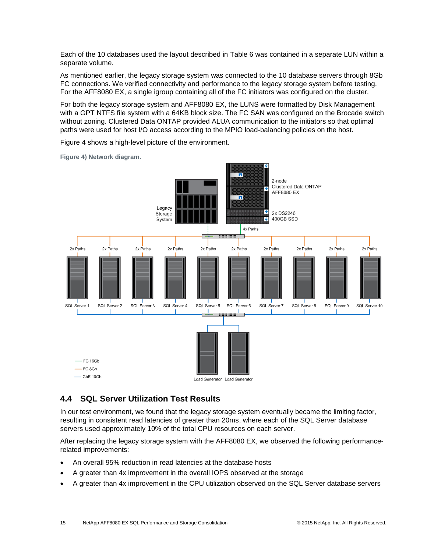Each of the 10 databases used the layout described in [Table 6](#page-13-1) was contained in a separate LUN within a separate volume.

As mentioned earlier, the legacy storage system was connected to the 10 database servers through 8Gb FC connections. We verified connectivity and performance to the legacy storage system before testing. For the AFF8080 EX, a single igroup containing all of the FC initiators was configured on the cluster.

For both the legacy storage system and AFF8080 EX, the LUNS were formatted by Disk Management with a GPT NTFS file system with a 64KB block size. The FC SAN was configured on the Brocade switch without zoning. Clustered Data ONTAP provided ALUA communication to the initiators so that optimal paths were used for host I/O access according to the MPIO load-balancing policies on the host.

п 2-node Clustered Data ONTAP 4 AFF8080 FX n Legacy  $\overline{\bullet}$ 2x DS2246 Storage ŀ, 400GB SSD System 4x Paths ------------- $\overline{\phantom{a}}$ 2x Paths 2x Paths 2x Paths 2x Paths 2x Paths 2x Paths 2x Paths 2x Paths  $2x$  Paths 2x Paths SQL Server 1 SQL Server 2 SQL Server 3 SQL Server 4 SQL Server 5 SQL Server 6 SQL Server 7 SQL Server 8 SQL Server 9 SQL Server 10 **BOOD BOOD**  $-$  FC 16Gb  $-$  FC 8Gb  $-$  GhF 10Gh Load Generator Load Generator

[Figure 4](#page-14-1) shows a high-level picture of the environment.

<span id="page-14-1"></span>**Figure 4) Network diagram.**

#### <span id="page-14-0"></span>**4.4 SQL Server Utilization Test Results**

In our test environment, we found that the legacy storage system eventually became the limiting factor, resulting in consistent read latencies of greater than 20ms, where each of the SQL Server database servers used approximately 10% of the total CPU resources on each server.

After replacing the legacy storage system with the AFF8080 EX, we observed the following performancerelated improvements:

- An overall 95% reduction in read latencies at the database hosts
- A greater than 4x improvement in the overall IOPS observed at the storage
- A greater than 4x improvement in the CPU utilization observed on the SQL Server database servers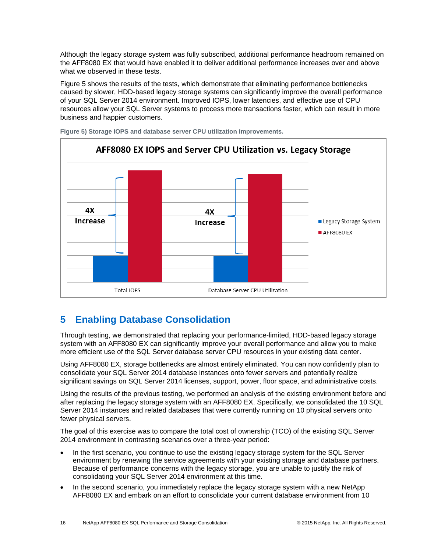Although the legacy storage system was fully subscribed, additional performance headroom remained on the AFF8080 EX that would have enabled it to deliver additional performance increases over and above what we observed in these tests.

[Figure 5](#page-15-1) shows the results of the tests, which demonstrate that eliminating performance bottlenecks caused by slower, HDD-based legacy storage systems can significantly improve the overall performance of your SQL Server 2014 environment. Improved IOPS, lower latencies, and effective use of CPU resources allow your SQL Server systems to process more transactions faster, which can result in more business and happier customers.



<span id="page-15-1"></span>**Figure 5) Storage IOPS and database server CPU utilization improvements.**

# <span id="page-15-0"></span>**5 Enabling Database Consolidation**

Through testing, we demonstrated that replacing your performance-limited, HDD-based legacy storage system with an AFF8080 EX can significantly improve your overall performance and allow you to make more efficient use of the SQL Server database server CPU resources in your existing data center.

Using AFF8080 EX, storage bottlenecks are almost entirely eliminated. You can now confidently plan to consolidate your SQL Server 2014 database instances onto fewer servers and potentially realize significant savings on SQL Server 2014 licenses, support, power, floor space, and administrative costs.

Using the results of the previous testing, we performed an analysis of the existing environment before and after replacing the legacy storage system with an AFF8080 EX. Specifically, we consolidated the 10 SQL Server 2014 instances and related databases that were currently running on 10 physical servers onto fewer physical servers.

The goal of this exercise was to compare the total cost of ownership (TCO) of the existing SQL Server 2014 environment in contrasting scenarios over a three-year period:

- In the first scenario, you continue to use the existing legacy storage system for the SQL Server environment by renewing the service agreements with your existing storage and database partners. Because of performance concerns with the legacy storage, you are unable to justify the risk of consolidating your SQL Server 2014 environment at this time.
- In the second scenario, you immediately replace the legacy storage system with a new NetApp AFF8080 EX and embark on an effort to consolidate your current database environment from 10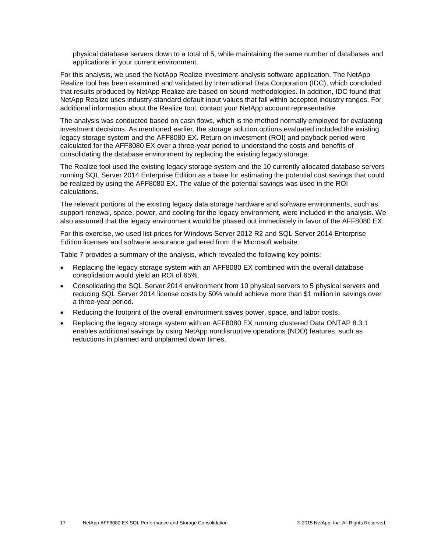physical database servers down to a total of 5, while maintaining the same number of databases and applications in your current environment.

For this analysis, we used the NetApp Realize investment-analysis software application. The NetApp Realize tool has been examined and validated by International Data Corporation (IDC), which concluded that results produced by NetApp Realize are based on sound methodologies. In addition, IDC found that NetApp Realize uses industry-standard default input values that fall within accepted industry ranges. For additional information about the Realize tool, contact your NetApp account representative.

The analysis was conducted based on cash flows, which is the method normally employed for evaluating investment decisions. As mentioned earlier, the storage solution options evaluated included the existing legacy storage system and the AFF8080 EX. Return on investment (ROI) and payback period were calculated for the AFF8080 EX over a three-year period to understand the costs and benefits of consolidating the database environment by replacing the existing legacy storage.

The Realize tool used the existing legacy storage system and the 10 currently allocated database servers running SQL Server 2014 Enterprise Edition as a base for estimating the potential cost savings that could be realized by using the AFF8080 EX. The value of the potential savings was used in the ROI calculations.

The relevant portions of the existing legacy data storage hardware and software environments, such as support renewal, space, power, and cooling for the legacy environment, were included in the analysis. We also assumed that the legacy environment would be phased out immediately in favor of the AFF8080 EX.

For this exercise, we used list prices for Windows Server 2012 R2 and SQL Server 2014 Enterprise Edition licenses and software assurance gathered from the Microsoft website.

[Table 7](#page-17-2) provides a summary of the analysis, which revealed the following key points:

- Replacing the legacy storage system with an AFF8080 EX combined with the overall database consolidation would yield an ROI of 65%.
- Consolidating the SQL Server 2014 environment from 10 physical servers to 5 physical servers and reducing SQL Server 2014 license costs by 50% would achieve more than \$1 million in savings over a three-year period.
- Reducing the footprint of the overall environment saves power, space, and labor costs.
- Replacing the legacy storage system with an AFF8080 EX running clustered Data ONTAP 8.3.1 enables additional savings by using NetApp nondisruptive operations (NDO) features, such as reductions in planned and unplanned down times.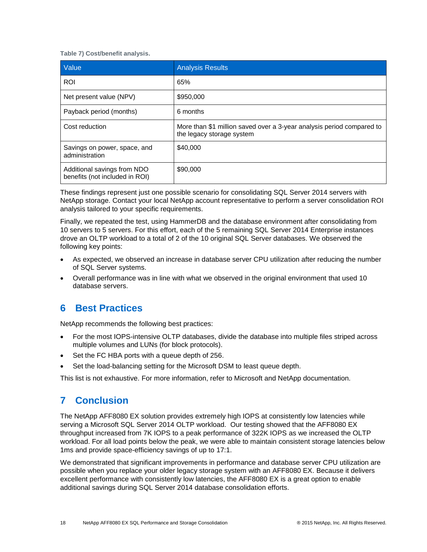#### <span id="page-17-2"></span>**Table 7) Cost/benefit analysis.**

| Value                                                         | <b>Analysis Results</b>                                                                            |
|---------------------------------------------------------------|----------------------------------------------------------------------------------------------------|
| <b>ROI</b>                                                    | 65%                                                                                                |
| Net present value (NPV)                                       | \$950,000                                                                                          |
| Payback period (months)                                       | 6 months                                                                                           |
| Cost reduction                                                | More than \$1 million saved over a 3-year analysis period compared to<br>the legacy storage system |
| Savings on power, space, and<br>administration                | \$40,000                                                                                           |
| Additional savings from NDO<br>benefits (not included in ROI) | \$90,000                                                                                           |

These findings represent just one possible scenario for consolidating SQL Server 2014 servers with NetApp storage. Contact your local NetApp account representative to perform a server consolidation ROI analysis tailored to your specific requirements.

Finally, we repeated the test, using HammerDB and the database environment after consolidating from 10 servers to 5 servers. For this effort, each of the 5 remaining SQL Server 2014 Enterprise instances drove an OLTP workload to a total of 2 of the 10 original SQL Server databases. We observed the following key points:

- As expected, we observed an increase in database server CPU utilization after reducing the number of SQL Server systems.
- Overall performance was in line with what we observed in the original environment that used 10 database servers.

### <span id="page-17-0"></span>**6 Best Practices**

NetApp recommends the following best practices:

- For the most IOPS-intensive OLTP databases, divide the database into multiple files striped across multiple volumes and LUNs (for block protocols).
- Set the FC HBA ports with a queue depth of 256.
- Set the load-balancing setting for the Microsoft DSM to least queue depth.

This list is not exhaustive. For more information, refer to Microsoft and NetApp documentation.

# <span id="page-17-1"></span>**7 Conclusion**

The NetApp AFF8080 EX solution provides extremely high IOPS at consistently low latencies while serving a Microsoft SQL Server 2014 OLTP workload. Our testing showed that the AFF8080 EX throughput increased from 7K IOPS to a peak performance of 322K IOPS as we increased the OLTP workload. For all load points below the peak, we were able to maintain consistent storage latencies below 1ms and provide space-efficiency savings of up to 17:1.

We demonstrated that significant improvements in performance and database server CPU utilization are possible when you replace your older legacy storage system with an AFF8080 EX. Because it delivers excellent performance with consistently low latencies, the AFF8080 EX is a great option to enable additional savings during SQL Server 2014 database consolidation efforts.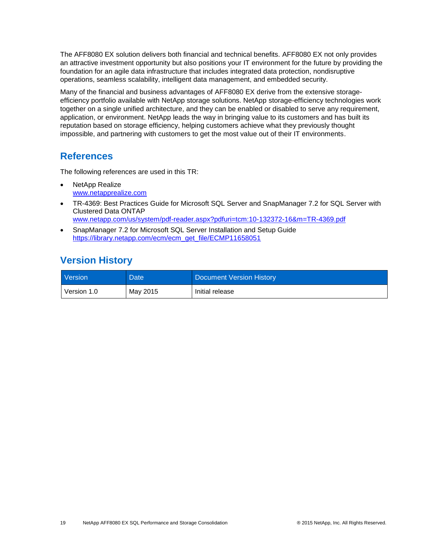The AFF8080 EX solution delivers both financial and technical benefits. AFF8080 EX not only provides an attractive investment opportunity but also positions your IT environment for the future by providing the foundation for an agile data infrastructure that includes integrated data protection, nondisruptive operations, seamless scalability, intelligent data management, and embedded security.

Many of the financial and business advantages of AFF8080 EX derive from the extensive storageefficiency portfolio available with NetApp storage solutions. NetApp storage-efficiency technologies work together on a single unified architecture, and they can be enabled or disabled to serve any requirement, application, or environment. NetApp leads the way in bringing value to its customers and has built its reputation based on storage efficiency, helping customers achieve what they previously thought impossible, and partnering with customers to get the most value out of their IT environments.

### <span id="page-18-0"></span>**References**

The following references are used in this TR:

- NetApp Realize [www.netapprealize.com](https://www.netapprealize.com/)
- TR-4369: Best Practices Guide for Microsoft SQL Server and SnapManager 7.2 for SQL Server with Clustered Data ONTAP [www.netapp.com/us/system/pdf-reader.aspx?pdfuri=tcm:10-132372-16&m=TR-4369.pdf](http://www.netapp.com/us/system/pdf-reader.aspx?pdfuri=tcm:10-132372-16&m=TR-4369.pdf)
- SnapManager 7.2 for Microsoft SQL Server Installation and Setup Guide [https://library.netapp.com/ecm/ecm\\_get\\_file/ECMP11658051](https://library.netapp.com/ecm/ecm_get_file/ECMP11658051)

# <span id="page-18-1"></span>**Version History**

| <b>Version</b> | Date <sup>1</sup> | Document Version History |
|----------------|-------------------|--------------------------|
| Version 1.0    | May 2015          | Initial release          |